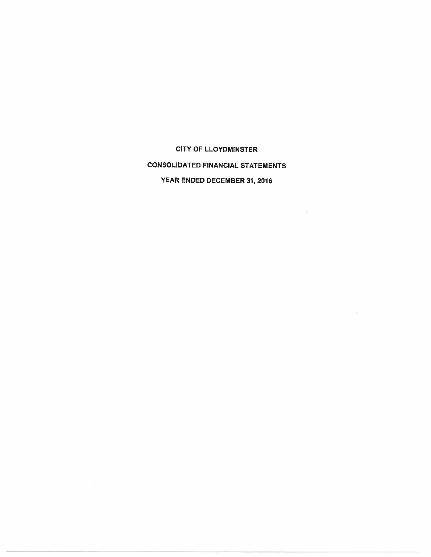**CITY OF LLOYDMINSTER CONSOLIDATED FINANCIAL STATEMENTS** YEAR ENDED DECEMBER 31, 2016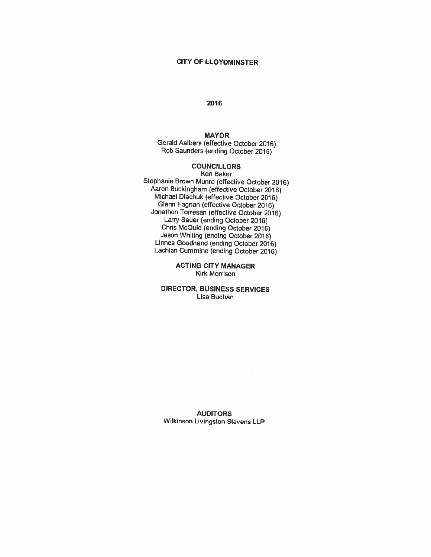### 2016

### **MAYOR**

Gerald Aalbers (effective October 2016) Rob Saunders (ending October 2016)

### **COUNCILLORS**

Ken Baker Stephanie Brown Munro (effective October 2016) Aaron Buckingham (effective October 2016) Michael Diachuk (effective October 2016) Glenn Fagnan (effective October 2016) Jonathon Torresan (effective October 2016) Larry Sauer (ending October 2016) Chris McQuid (ending October 2016) Jason Whiting (ending October 2016) Linnea Goodhand (ending October 2016) Lachlan Cummine (ending October 2016)

> **ACTING CITY MANAGER** Kirk Morrison

### DIRECTOR, BUSINESS SERVICES Lisa Buchan

**AUDITORS** Wilkinson Livingston Stevens LLP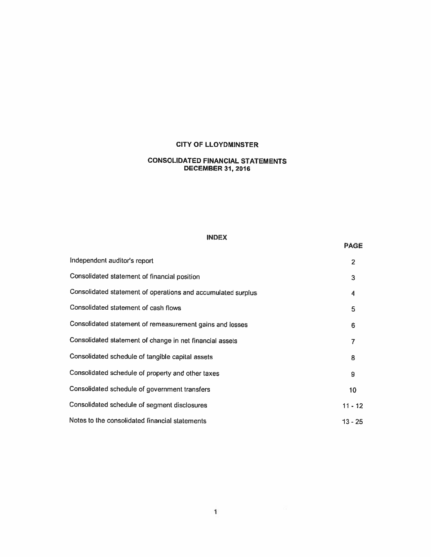### **CONSOLIDATED FINANCIAL STATEMENTS DECEMBER 31, 2016**

### **INDEX**

**PAGE** 

### Independent auditor's report  $2<sup>1</sup>$ Consolidated statement of financial position  $3<sup>1</sup>$ Consolidated statement of operations and accumulated surplus  $\overline{4}$ Consolidated statement of cash flows  $5<sup>1</sup>$ Consolidated statement of remeasurement gains and losses 6 Consolidated statement of change in net financial assets  $\overline{7}$ Consolidated schedule of tangible capital assets 8 Consolidated schedule of property and other taxes  $9<sub>o</sub>$ Consolidated schedule of government transfers  $10<sub>1</sub>$ Consolidated schedule of segment disclosures  $11 - 12$ Notes to the consolidated financial statements  $13 - 25$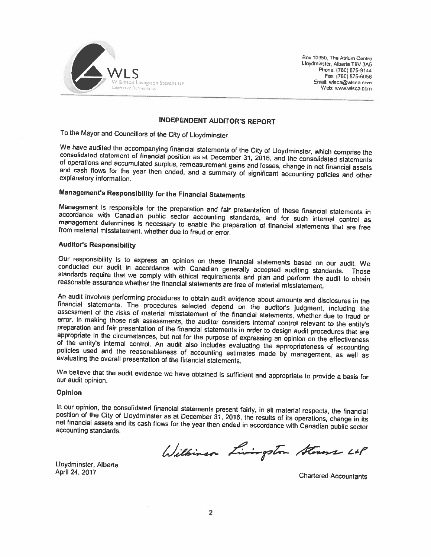

Box 10350, The Atrium Centre Lloydminster, Alberta T9V 3A5 Phone: (780) 875-9144 Fax: (780) 875-6056 Email: wisca@wisca.com Web: www.wlsca.com

### **INDEPENDENT AUDITOR'S REPORT**

To the Mayor and Councillors of the City of Lloydminster

We have audited the accompanying financial statements of the City of Lloydminster, which comprise the consolidated statement of financial position as at December 31, 2016, and the consolidated statements of operations and accumulated surplus, remeasurement gains and losses, change in net financial assets and cash flows for the year then ended, and a summary of significant accounting policies and other explanatory information.

### Management's Responsibility for the Financial Statements

Management is responsible for the preparation and fair presentation of these financial statements in accordance with Canadian public sector accounting standards, and for such internal control as management determines is necessary to enable the preparation of financial statements that are free from material misstatement, whether due to fraud or error.

### **Auditor's Responsibility**

Our responsibility is to express an opinion on these financial statements based on our audit. We conducted our audit in accordance with Canadian generally accepted auditing standards. Those standards require that we comply with ethical requirements and plan and perform the audit to obtain reasonable assurance whether the financial statements are free of material misstatement.

An audit involves performing procedures to obtain audit evidence about amounts and disclosures in the financial statements. The procedures selected depend on the auditor's judgment, including the assessment of the risks of material misstatement of the financial statements, whether due to fraud or error. In making those risk assessments, the auditor considers internal control relevant to the entity's preparation and fair presentation of the financial statements in order to design audit procedures that are appropriate in the circumstances, but not for the purpose of expressing an opinion on the effectiveness of the entity's internal control. An audit also includes evaluating the appropriateness of accounting policies used and the reasonableness of accounting estimates made by management, as well as evaluating the overall presentation of the financial statements.

We believe that the audit evidence we have obtained is sufficient and appropriate to provide a basis for our audit opinion.

### Opinion

In our opinion, the consolidated financial statements present fairly, in all material respects, the financial position of the City of Lloydminster as at December 31, 2016, the results of its operations, change in its net financial assets and its cash flows for the year then ended in accordance with Canadian public sector accounting standards.

Wilkinson Livingston Stevens LAP

Lloydminster, Alberta April 24, 2017

**Chartered Accountants**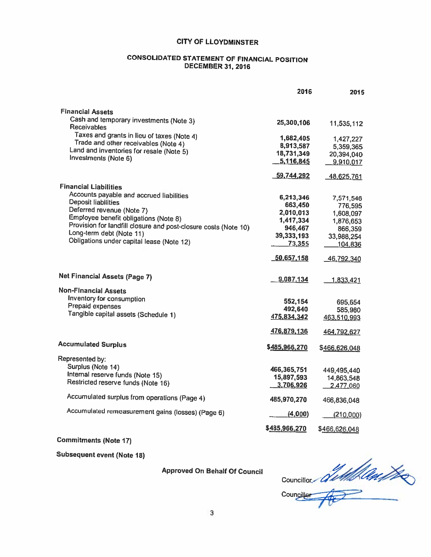### **CONSOLIDATED STATEMENT OF FINANCIAL POSITION DECEMBER 31, 2016**

|                                                                 | 2016                   | 2015                    |
|-----------------------------------------------------------------|------------------------|-------------------------|
| <b>Financial Assets</b>                                         |                        |                         |
| Cash and temporary investments (Note 3)                         |                        |                         |
| <b>Receivables</b>                                              | 25,300,106             | 11,535,112              |
| Taxes and grants in lieu of taxes (Note 4)                      |                        |                         |
| Trade and other receivables (Note 4)                            | 1,682,405<br>8,913,587 | 1,427,227               |
| Land and inventories for resale (Note 5)                        | 18,731,349             | 5,359,365               |
| Investments (Note 6)                                            | 5,116,845              | 20,394,040<br>9,910,017 |
|                                                                 |                        |                         |
|                                                                 | 59,744,292             | <u>48,625,761</u>       |
| <b>Financial Liabilities</b>                                    |                        |                         |
| Accounts payable and accrued liabilities                        |                        |                         |
| Deposit liabilities                                             | 6,213,346              | 7,571,546               |
| Deferred revenue (Note 7)                                       | 663,450<br>2,010,013   | 776,595                 |
| Employee benefit obligations (Note 8)                           | 1,417,334              | 1,608,097<br>1,876,653  |
| Provision for landfill closure and post-closure costs (Note 10) | 946,467                | 866,359                 |
| Long-term debt (Note 11)                                        | 39,333,193             | 33,988,254              |
| Obligations under capital lease (Note 12)                       | 73,355                 | 104,836                 |
|                                                                 |                        |                         |
|                                                                 | 50,657,158             | 46,792,340              |
| <b>Net Financial Assets (Page 7)</b>                            | 9,087,134              | 1,833,421               |
| <b>Non-Financial Assets</b>                                     |                        |                         |
| Inventory for consumption                                       |                        |                         |
| Prepaid expenses                                                | 552,154                | 695,654                 |
| Tangible capital assets (Schedule 1)                            | 492,640                | 585,980                 |
|                                                                 | 475,834,342            | 463,510,993             |
|                                                                 | 476,879,136            | 464,792,627             |
| <b>Accumulated Surplus</b>                                      | \$485,966,270          | \$466,626,048           |
| Represented by:                                                 |                        |                         |
| Surplus (Note 14)                                               |                        |                         |
| Internal reserve funds (Note 15)                                | 466,365,751            | 449,495,440             |
| Restricted reserve funds (Note 16)                              | 15,897,593             | 14,863,548              |
|                                                                 | 3,706,926              | 2,477,060               |
| Accumulated surplus from operations (Page 4)                    | 485,970,270            | 466,836,048             |
| Accumulated remeasurement gains (losses) (Page 6)               | (4,000)                | (210,000)               |
|                                                                 | \$485,966,270          | \$466,626,048           |

**Commitments (Note 17)** 

**Subsequent event (Note 18)** 

**Approved On Behalf Of Council** 

Councillor. Substitution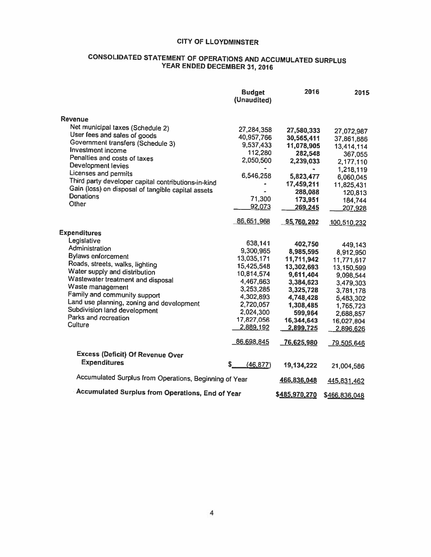### CONSOLIDATED STATEMENT OF OPERATIONS AND ACCUMULATED SURPLUS<br>YEAR ENDED DECEMBER 31, 2016

|                                                        | <b>Budget</b><br>(Unaudited) | 2016          | 2015          |
|--------------------------------------------------------|------------------------------|---------------|---------------|
| Revenue                                                |                              |               |               |
| Net municipal taxes (Schedule 2)                       | 27,284,358                   | 27,580,333    | 27,072,987    |
| User fees and sales of goods                           | 40,957,766                   | 30,565,411    | 37,861,886    |
| Government transfers (Schedule 3)                      | 9,537,433                    | 11,078,905    | 13,414,114    |
| Investment income                                      | 112,280                      | 282,548       | 367,055       |
| Penalties and costs of taxes                           | 2,050,500                    | 2,239,033     | 2,177,110     |
| Development levies                                     |                              |               | 1,218,119     |
| Licenses and permits                                   | 6,546,258                    | 5,823,477     | 6,060,045     |
| Third party developer capital contributions-in-kind    |                              | 17,459,211    | 11,825,431    |
| Gain (loss) on disposal of tangible capital assets     |                              | 288,088       | 120,813       |
| Donations                                              | 71,300                       | 173,951       | 184,744       |
| Other                                                  | 92,073                       | 269,245       | 207,928       |
|                                                        |                              |               |               |
|                                                        | 86,651,968                   | 95,760,202    | 100,510,232   |
| <b>Expenditures</b>                                    |                              |               |               |
| Legislative                                            | 638.141                      | 402,750       | 449.143       |
| Administration                                         | 9,300,965                    | 8,985,595     | 8,912,950     |
| <b>Bylaws enforcement</b>                              | 13,035,171                   | 11,711,942    | 11,771,617    |
| Roads, streets, walks, lighting                        | 15,425,548                   | 13,302,693    | 13,150,599    |
| Water supply and distribution                          | 10,814,574                   | 9,611,404     | 9,098,544     |
| Wastewater treatment and disposal                      | 4,467,663                    | 3,384,623     | 3,479,303     |
| Waste management                                       | 3,253,285                    | 3,325,728     | 3,781,178     |
| Family and community support                           | 4,302,893                    | 4,748,428     | 5,483,302     |
| Land use planning, zoning and development              | 2,720,057                    | 1,308,485     | 1,765,723     |
| Subdivision land development<br>Parks and recreation   | 2,024,300                    | 599,964       | 2,688,857     |
| Culture                                                | 17,827,056                   | 16,344,643    | 16,027,804    |
|                                                        | 2,889,192                    | 2,899,725     | 2,896,626     |
|                                                        | 86,698,845                   | 76,625,980    | 79,505,646    |
| <b>Excess (Deficit) Of Revenue Over</b>                |                              |               |               |
| <b>Expenditures</b>                                    | \$<br>(46, 877)              | 19,134,222    | 21,004,586    |
| Accumulated Surplus from Operations, Beginning of Year |                              | 466,836,048   | 445,831,462   |
|                                                        |                              |               |               |
| Accumulated Surplus from Operations, End of Year       |                              | \$485,970,270 | \$466,836,048 |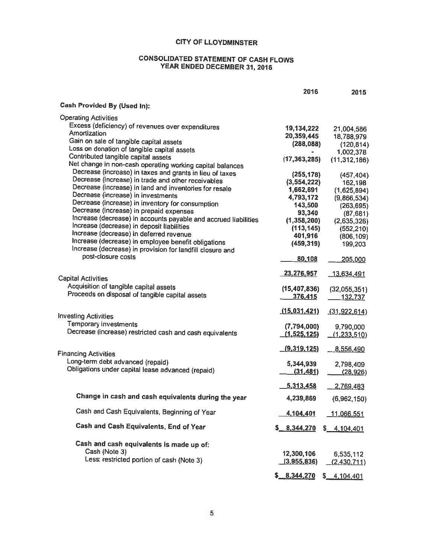### **CONSOLIDATED STATEMENT OF CASH FLOWS**<br>YEAR ENDED DECEMBER 31, 2016

|                                                                 | 2016                        | 2015           |
|-----------------------------------------------------------------|-----------------------------|----------------|
| Cash Provided By (Used In):                                     |                             |                |
| <b>Operating Activities</b>                                     |                             |                |
| Excess (deficiency) of revenues over expenditures               | 19,134,222                  | 21,004,586     |
| Amortization                                                    | 20,359,445                  | 18,788,979     |
| Gain on sale of tangible capital assets                         | (288, 088)                  | (120, 814)     |
| Loss on donation of tangible capital assets                     |                             | 1,002,378      |
| Contributed tangible capital assets                             | (17, 363, 285)              | (11, 312, 186) |
| Net change in non-cash operating working capital balances       |                             |                |
| Decrease (increase) in taxes and grants in lieu of taxes        | (255, 178)                  | (457, 404)     |
| Decrease (increase) in trade and other receivables              | (3, 554, 222)               | 162,198        |
| Decrease (increase) in land and inventories for resale          | 1,662,691                   | (1,625,894)    |
| Decrease (increase) in investments                              | 4,793,172                   | (9,866,534)    |
| Decrease (increase) in inventory for consumption                | 143,500                     | (263, 695)     |
| Decrease (increase) in prepaid expenses                         | 93,340                      | (87, 681)      |
| Increase (decrease) in accounts payable and accrued liabilities | (1,358,200)                 | (2,635,326)    |
| Increase (decrease) in deposit liabilities                      | (113, 145)                  | (552, 210)     |
| Increase (decrease) in deferred revenue                         | 401,916                     | (806, 109)     |
| Increase (decrease) in employee benefit obligations             | (459, 319)                  | 199,203        |
| Increase (decrease) in provision for landfill closure and       |                             |                |
| post-closure costs                                              | 80,108                      | 205,000        |
|                                                                 | 23,276,957                  | 13,634,491     |
| <b>Capital Activities</b>                                       |                             |                |
| Acquisition of tangible capital assets                          | (15, 407, 836)              | (32,055,351)   |
| Proceeds on disposal of tangible capital assets                 | 376,415                     | 132,737        |
|                                                                 |                             |                |
| <b>Investing Activities</b>                                     | (15,031,421)                | (31, 922, 614) |
| Temporary investments                                           |                             |                |
| Decrease (increase) restricted cash and cash equivalents        | (7,794,000)                 | 9,790,000      |
|                                                                 | (1, 525, 125)               | (1,233,510)    |
|                                                                 | <u>(9,319,125)</u>          | 8,556,490      |
| <b>Financing Activities</b>                                     |                             |                |
| Long-term debt advanced (repaid)                                | 5,344,939                   | 2,798,409      |
| Obligations under capital lease advanced (repaid)               | (31, 481)                   | (28, 926)      |
|                                                                 |                             |                |
|                                                                 | 5,313,458                   | 2,769,483      |
| Change in cash and cash equivalents during the year             | 4,239,869                   | (6,962,150)    |
| Cash and Cash Equivalents, Beginning of Year                    | 4,104,401                   | 11,066,551     |
| Cash and Cash Equivalents, End of Year                          |                             |                |
|                                                                 | \$ 8,344,270                | \$ 4,104,401   |
| Cash and cash equivalents is made up of:                        |                             |                |
| Cash (Note 3)                                                   | 12,300,106                  | 6,535,112      |
| Less: restricted portion of cash (Note 3)                       | <u>(3,955,836)</u>          | (2,430,711)    |
|                                                                 |                             |                |
|                                                                 | $$-.8,344,270$ \$ 4.104.401 |                |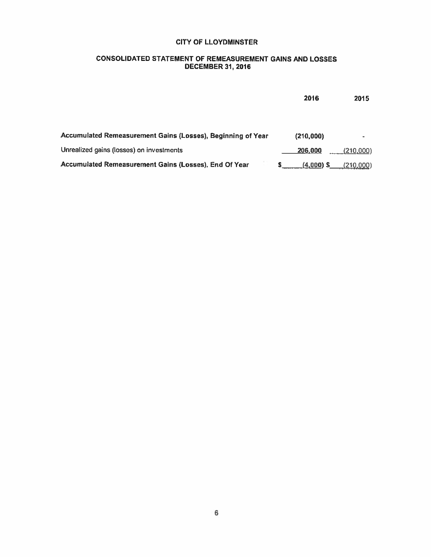### **CONSOLIDATED STATEMENT OF REMEASUREMENT GAINS AND LOSSES DECEMBER 31, 2016**

|                                                             | 2016        | 2015                         |
|-------------------------------------------------------------|-------------|------------------------------|
| Accumulated Remeasurement Gains (Losses), Beginning of Year | (210,000)   | $\qquad \qquad \blacksquare$ |
| Unrealized gains (losses) on investments                    | 206,000     | (210,000)                    |
| Accumulated Remeasurement Gains (Losses), End Of Year       | $(4,000)$ S | (210.000)                    |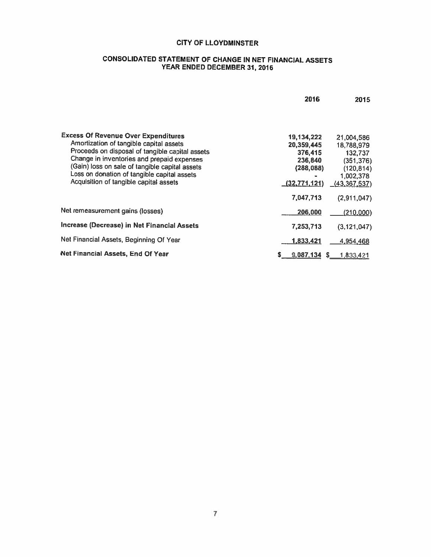### CONSOLIDATED STATEMENT OF CHANGE IN NET FINANCIAL ASSETS<br>YEAR ENDED DECEMBER 31, 2016

|                                                                                                                                                                                                                                                                                     | 2016                                                                   | 2015                                                                             |
|-------------------------------------------------------------------------------------------------------------------------------------------------------------------------------------------------------------------------------------------------------------------------------------|------------------------------------------------------------------------|----------------------------------------------------------------------------------|
| <b>Excess Of Revenue Over Expenditures</b>                                                                                                                                                                                                                                          | 19,134,222                                                             | 21,004,586                                                                       |
| Amortization of tangible capital assets<br>Proceeds on disposal of tangible capital assets<br>Change in inventories and prepaid expenses<br>(Gain) loss on sale of tangible capital assets<br>Loss on donation of tangible capital assets<br>Acquisition of tangible capital assets | 20,359,445<br>376,415<br>236,840<br>(288, 088)<br><u> (32,771,121)</u> | 18,788,979<br>132,737<br>(351, 376)<br>(120, 814)<br>1,002,378<br>(43, 367, 537) |
|                                                                                                                                                                                                                                                                                     | 7,047,713                                                              | (2,911,047)                                                                      |
| Net remeasurement gains (losses)                                                                                                                                                                                                                                                    | 206,000                                                                | (210,000)                                                                        |
| Increase (Decrease) in Net Financial Assets                                                                                                                                                                                                                                         | 7,253,713                                                              | (3, 121, 047)                                                                    |
| Net Financial Assets, Beginning Of Year                                                                                                                                                                                                                                             | 1,833,421                                                              | <u>4,954,468</u>                                                                 |
| Net Financial Assets, End Of Year                                                                                                                                                                                                                                                   | 9,087,134 \$<br>s                                                      | 1.833.421                                                                        |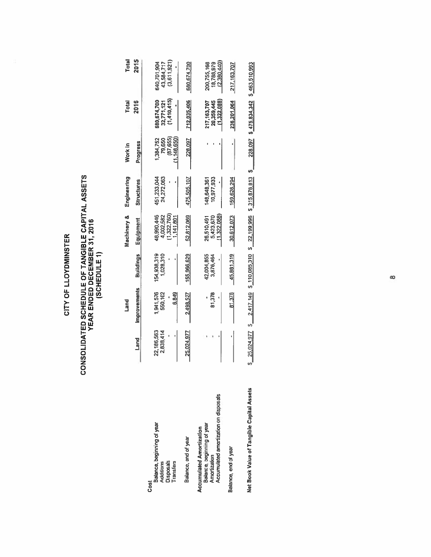# **CONSOLIDATED SCHEDULE OF TANGIBLE CAPITAL ASSETS<br>YEAR ENDED DECEMBER 31, 2016<br>(SCHEDULE 1)**

|                                                                                                                        |                         | <u>Land</u>                   |                          | Machinery &                                         | Engineering                                                                                              | Work in                                           | <b>Total</b>                             | Total                                    |
|------------------------------------------------------------------------------------------------------------------------|-------------------------|-------------------------------|--------------------------|-----------------------------------------------------|----------------------------------------------------------------------------------------------------------|---------------------------------------------------|------------------------------------------|------------------------------------------|
|                                                                                                                        | <b>Land</b>             | <b>Improvements</b>           | <b>Buildings</b>         | Equipment                                           | <b>Structures</b>                                                                                        | Progress                                          | 2016                                     | <b>2015</b>                              |
| Balance, beginning of year<br>Disposals<br>Transfers<br>Additions<br>ទី                                                | 22,186,563<br>2,838,414 | 1,941,576<br>6.849<br>550,102 | 154,938,319<br>1,028,310 | (1,322,760)<br>48,990,446<br>4,002,582<br>1,141,801 | 451,233,044<br>24,272,063                                                                                | (87, 655)<br>(1, 148, 650)<br>1,384,752<br>79,650 | (1,410,415)<br>680,674,700<br>32,771,121 | (3,611,921)<br>640,701,904<br>43,584,717 |
| Balance, end of year                                                                                                   | 25,024,977              | 2,498,527                     | 155,966,629              | 52,812,069                                          | 475,505,107                                                                                              | 228,097                                           | 712,035,406                              | 680,674,700                              |
| Accumulated amortization on disposals<br>Balance, beginning of year<br><b>Accumulated Amortization</b><br>Amortization |                         | 81,378                        | 42,004,855<br>3,876,464  | (1,322,088)<br>5,423,670<br>26,510,491              | 10,977,933<br>148,648,361                                                                                |                                                   | (1,322,088)<br>20,359,445<br>217,163,707 | (2.380,440)<br>18,788,979<br>200,755,168 |
| Balance, end of year                                                                                                   |                         | 81,378                        | 45,881,319               | 30,612,073                                          | 159,626,294                                                                                              |                                                   | 236,201,064                              | 217, 163, 707                            |
| Net Book Value of Tangible Capital Assets                                                                              |                         | $$25,024,977$ $$2,417,149$    |                          |                                                     | $s_{110.085.310}$ $s_{-22.199.996}$ $s_{315.878.813}$ $s_{-228.097}$ $s_{475.834.342}$ $s_{463.510.993}$ |                                                   |                                          |                                          |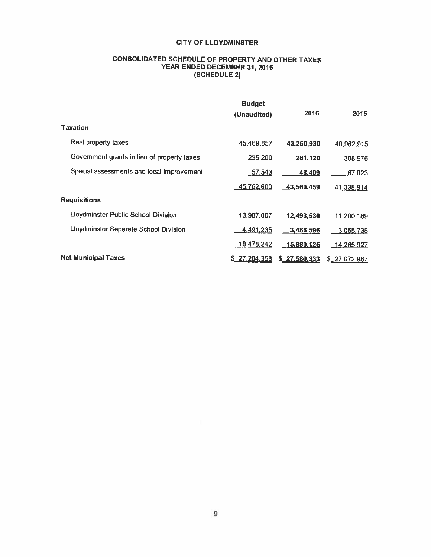### CONSOLIDATED SCHEDULE OF PROPERTY AND OTHER TAXES<br>YEAR ENDED DECEMBER 31, 2016<br>(SCHEDULE 2)

|                                             | <b>Budget</b> |              |                   |
|---------------------------------------------|---------------|--------------|-------------------|
|                                             | (Unaudited)   | 2016         | 2015              |
| Taxation                                    |               |              |                   |
| Real property taxes                         | 45,469,857    | 43,250,930   | 40,962,915        |
| Government grants in lieu of property taxes | 235,200       | 261,120      | 308,976           |
| Special assessments and local improvement   | 57,543        | 48,409       | 67,023            |
|                                             | 45,762,600    | 43,560,459   | 41,338,914        |
| <b>Requisitions</b>                         |               |              |                   |
| Lloydminster Public School Division         | 13,987,007    | 12,493,530   | 11.200.189        |
| Lloydminster Separate School Division       | 4.491,235     | 3,486,596    | 3,065,738         |
|                                             | 18,478,242    | 15,980,126   | <u>14,265,927</u> |
| <b>Net Municipal Taxes</b>                  | \$27,284,358  | \$27,580,333 | \$27,072,987      |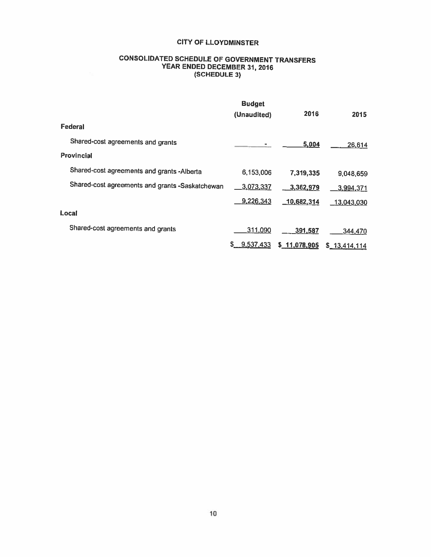### CONSOLIDATED SCHEDULE OF GOVERNMENT TRANSFERS<br>YEAR ENDED DECEMBER 31, 2016<br>(SCHEDULE 3)

|                                                 | <b>Budget</b><br>(Unaudited) | 2016         | 2015          |
|-------------------------------------------------|------------------------------|--------------|---------------|
| Federal                                         |                              |              |               |
| Shared-cost agreements and grants               |                              | 5,004        | 26,614        |
| <b>Provincial</b>                               |                              |              |               |
| Shared-cost agreements and grants -Alberta      | 6,153,006                    | 7,319,335    | 9,048,659     |
| Shared-cost agreements and grants -Saskatchewan | 3,073,337                    | 3,362,979    | 3,994,371     |
|                                                 | 9,226,343                    | 10,682,314   | 13,043,030    |
| Local                                           |                              |              |               |
| Shared-cost agreements and grants               | 311,090                      | 391,587      | 344,470       |
|                                                 | \$ 9,537,433                 | \$11,078,905 | \$ 13,414,114 |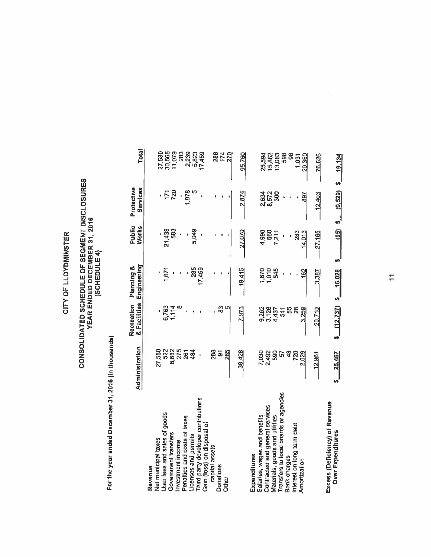## **CONSOLIDATED SCHEDULE OF SEGMENT DISCLOSURES<br>YEAR ENDED DECEMBER 31, 2016<br>(SCHEDULE 4)**

For the year ended December 31, 2016 (in thousands)

|                                                     | Administration | & Facilities<br>Recreation | Engineering<br>Planning & | Public<br>Works               | Protective<br>Services   | Total            |
|-----------------------------------------------------|----------------|----------------------------|---------------------------|-------------------------------|--------------------------|------------------|
| Revenue                                             |                |                            |                           |                               |                          |                  |
| Net municipal taxes                                 | 27,580         |                            |                           |                               | ı                        | 27,580           |
| User fees and sales of goods                        | 522            | 6,763                      | 1,671                     | 21,438                        | 171                      |                  |
| Government transfers                                | 8,662          | 1,114                      |                           | 583                           | 720                      | 30,565<br>11,079 |
| nvestment income                                    | 275            | മ                          |                           |                               |                          | 283              |
| Penalties and costs of taxes                        |                |                            |                           |                               | 1,978                    |                  |
| Licenses and permits                                | 261<br>484     |                            | 285                       |                               |                          | 2,239            |
| Third party developer contributions                 |                |                            | 17,459                    | 5,049                         |                          | 5,823            |
| Gain (loss) on disposal of                          |                |                            |                           |                               |                          | 17,459           |
| capital assets                                      | 288            |                            |                           |                               |                          |                  |
| Donations                                           | ົລ             | 83                         |                           |                               |                          | 288              |
| <b>Other</b>                                        |                |                            |                           |                               |                          | 174              |
|                                                     | 265            |                            |                           |                               |                          | 270              |
|                                                     | 38,428         | 7.973                      | 19,415                    | 27.070                        | 2,874                    | 95,760           |
| Expenditures                                        |                |                            |                           |                               |                          |                  |
| Salaries, wages and benefits                        |                | 9,262                      | 1,670                     | 4,998                         | 2,634                    | 25,594           |
| Contracted and general services                     | 7,030<br>2,492 | 3,128                      | 1,010                     | 660                           | 8,572                    | 15,862           |
| Materials, goods and utilities                      | 590            | 4,437                      | 545                       | 7,211                         | go                       | 13,083           |
| Transfers to local boards or agencies               | 57             | $\frac{2}{5}$              |                           |                               |                          | 598              |
| <b>Bank</b> charges                                 | 43             | 55                         |                           | t                             |                          | 3                |
| Interest on long term debt                          | 720            | 28                         |                           | 283                           |                          | 1,031            |
| Amortization                                        | 2,029          | 3,259                      | 162                       | $\frac{1}{2}$<br>$\mathbf{a}$ | 897                      | 20,360           |
|                                                     |                |                            |                           |                               |                          |                  |
|                                                     | 12,961         | 20,710                     | 3,387                     | 27,165                        | 12.403                   | 76.626           |
| Excess (Deficiency) of Revenue<br>Over Expenditures | \$35,467       | (12, 737)                  | $5 - 16,028$              | 95)                           | (9.529)<br>$\frac{1}{2}$ | $5 - 19,134$     |
|                                                     |                |                            |                           |                               |                          |                  |

 $\overline{r}$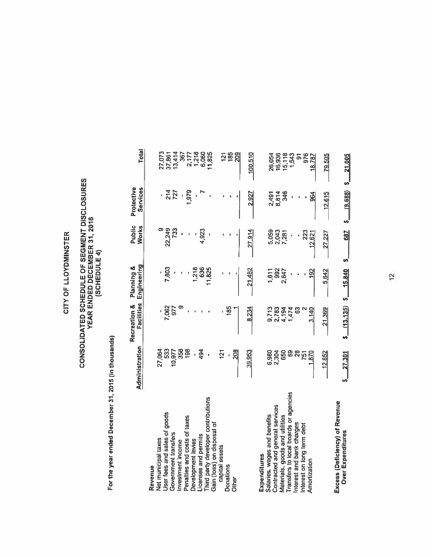## **CONSOLIDATED SCHEDULE OF SEGMENT DISCLOSURES<br>YEAR ENDED DECEMBER 31, 2016<br>(SCHEDULE 4)**

For the year ended December 31, 2015 (in thousands)

|                                       | Administration  | Facilities<br>Recreation & | Engineering<br>Planning & | Public<br>Works | Protective<br>Services | Total           |
|---------------------------------------|-----------------|----------------------------|---------------------------|-----------------|------------------------|-----------------|
| Revenue                               |                 |                            |                           |                 |                        |                 |
| Net municipal taxes                   | 27,064          |                            |                           | თ               |                        | 27,073          |
| Jser fees and sales of goods          | 533             | 7,062                      | 7,803                     | 22,249          |                        | 37,861          |
| Sovernment transfers                  | 10,977          | 977                        |                           | 733             | 214<br>727             | 13,414          |
| nvestment income                      | 358             |                            |                           |                 |                        | 367             |
| Penalties and costs of taxes          | 198             |                            |                           |                 | 0.6                    | 2,177           |
| Development levies                    |                 |                            | 1,218                     |                 | ¢                      | 1,218           |
| -icenses and permits                  | 494             |                            | 636                       | 4,923           |                        | 6,060           |
| Third party developer contributions   |                 |                            | 11,825                    |                 |                        | 11,825          |
| Gain (loss) on disposal of            |                 |                            |                           |                 |                        |                 |
| capital assets                        | $\overline{21}$ |                            |                           |                 |                        | $\frac{121}{2}$ |
| Donations                             |                 | 185                        |                           |                 |                        | 185             |
| Other                                 | 208             |                            |                           |                 |                        | 209             |
|                                       |                 |                            |                           |                 |                        |                 |
|                                       | 39,953          | 8,234                      | 21,482                    | 27,914          | 2.927                  | 100.510         |
| Expenditures                          |                 |                            |                           |                 |                        |                 |
| Salaries, wages and benefits          | 6.980<br>2.304  | 9,713                      | 1,811                     | 5,059           |                        | 26,054          |
| Contracted and general services       |                 | 2,783                      | 992                       | 2,043           | 2,491<br>8,814         | 16,936          |
| Materials, goods and utilities        | 650             | 4,194                      | 2,647                     | 7,281           | 346                    | 15,118          |
| Transfers to local boards or agencies | 89              | 1474                       |                           |                 |                        | 1,543           |
| Interest and bank charges             | 28              | ෂ                          |                           |                 |                        | 5               |
| Interest on long term debt            | $\overline{5}$  |                            |                           | 23              |                        | 976             |
| Amortization                          | 870             | 3,140                      | 192                       | 12,621          | 964                    | 18,787          |
|                                       |                 |                            |                           |                 |                        |                 |
|                                       | 12,652          | 21,369                     | 5.642                     | 27,227          | 12,615                 | 79,505          |
| Excess (Deficiency) of Revenue        |                 |                            |                           |                 |                        |                 |
| Over Expenditures                     | 27,301          | $$ - (13, 135)$            | $5 - 15,840$              | 687<br>ui       | (9.688)<br>u,          | 21,005<br>n     |

 $\frac{1}{2}$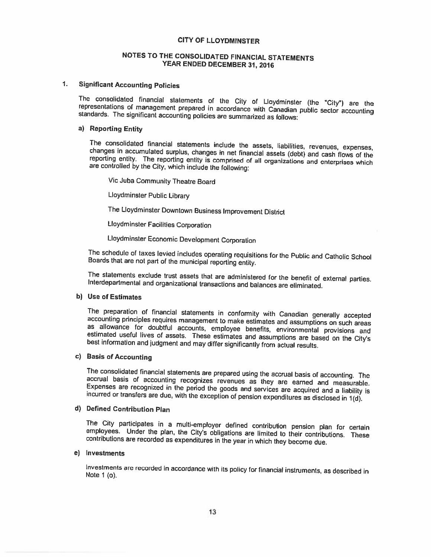### NOTES TO THE CONSOLIDATED FINANCIAL STATEMENTS YEAR ENDED DECEMBER 31, 2016

### 1. **Significant Accounting Policies**

The consolidated financial statements of the City of Lloydminster (the "City") are the representations of management prepared in accordance with Canadian public sector accounting standards. The significant accounting policies are summarized as follows:

### a) Reporting Entity

The consolidated financial statements include the assets, liabilities, revenues, expenses, changes in accumulated surplus, changes in net financial assets (debt) and cash flows of the reporting entity. The reporting entity is comprised of all organizations and enterprises which are controlled by the City, which include the following:

Vic Juba Community Theatre Board

Lloydminster Public Library

The Lloydminster Downtown Business Improvement District

**Lloydminster Facilities Corporation** 

Lloydminster Economic Development Corporation

The schedule of taxes levied includes operating requisitions for the Public and Catholic School Boards that are not part of the municipal reporting entity.

The statements exclude trust assets that are administered for the benefit of external parties. Interdepartmental and organizational transactions and balances are eliminated.

### b) Use of Estimates

The preparation of financial statements in conformity with Canadian generally accepted accounting principles requires management to make estimates and assumptions on such areas as allowance for doubtful accounts, employee benefits, environmental provisions and estimated useful lives of assets. These estimates and assumptions are based on the City's best information and judgment and may differ significantly from actual results.

### c) Basis of Accounting

The consolidated financial statements are prepared using the accrual basis of accounting. The accrual basis of accounting recognizes revenues as they are earned and measurable. Expenses are recognized in the period the goods and services are acquired and a liability is incurred or transfers are due, with the exception of pension expenditures as disclosed in 1(d).

### d) Defined Contribution Plan

The City participates in a multi-employer defined contribution pension plan for certain employees. Under the plan, the City's obligations are limited to their contributions. These contributions are recorded as expenditures in the year in which they become due.

### e) Investments

Investments are recorded in accordance with its policy for financial instruments, as described in Note 1 (o).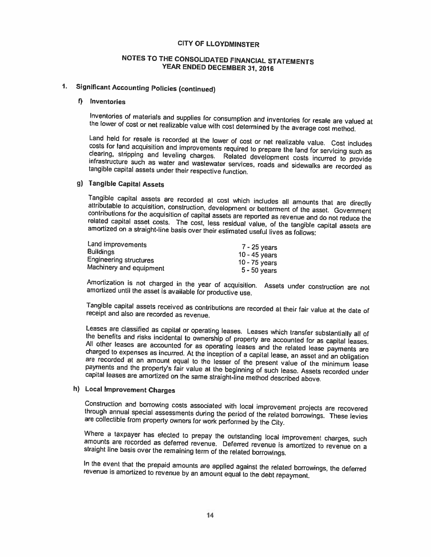### NOTES TO THE CONSOLIDATED FINANCIAL STATEMENTS YEAR ENDED DECEMBER 31, 2016

### 1. Significant Accounting Policies (continued)

### f) Inventories

Inventories of materials and supplies for consumption and inventories for resale are valued at the lower of cost or net realizable value with cost determined by the average cost method.

Land held for resale is recorded at the lower of cost or net realizable value. Cost includes costs for land acquisition and improvements required to prepare the land for servicing such as clearing, stripping and leveling charges. Related development costs incurred to provide infrastructure such as water and wastewater services, roads and sidewalks are recorded as tangible capital assets under their respective function.

### g) Tangible Capital Assets

Tangible capital assets are recorded at cost which includes all amounts that are directly attributable to acquisition, construction, development or betterment of the asset. Government contributions for the acquisition of capital assets are reported as revenue and do not reduce the related capital asset costs. The cost, less residual value, of the tangible capital assets are amortized on a straight-line basis over their estimated useful lives as follows:

| Land improvements       | 7 - 25 years    |
|-------------------------|-----------------|
| <b>Buildings</b>        |                 |
| Engineering structures  | $10 - 45$ years |
|                         | 10 - 75 years   |
| Machinery and equipment | $5 - 50$ years  |

Amortization is not charged in the year of acquisition. Assets under construction are not amortized until the asset is available for productive use.

Tangible capital assets received as contributions are recorded at their fair value at the date of receipt and also are recorded as revenue.

Leases are classified as capital or operating leases. Leases which transfer substantially all of the benefits and risks incidental to ownership of property are accounted for as capital leases. All other leases are accounted for as operating leases and the related lease payments are charged to expenses as incurred. At the inception of a capital lease, an asset and an obligation are recorded at an amount equal to the lesser of the present value of the minimum lease payments and the property's fair value at the beginning of such lease. Assets recorded under capital leases are amortized on the same straight-line method described above.

### h) Local Improvement Charges

Construction and borrowing costs associated with local improvement projects are recovered through annual special assessments during the period of the related borrowings. These levies are collectible from property owners for work performed by the City.

Where a taxpayer has elected to prepay the outstanding local improvement charges, such amounts are recorded as deferred revenue. Deferred revenue is amortized to revenue on a straight line basis over the remaining term of the related borrowings.

In the event that the prepaid amounts are applied against the related borrowings, the deferred revenue is amortized to revenue by an amount equal to the debt repayment.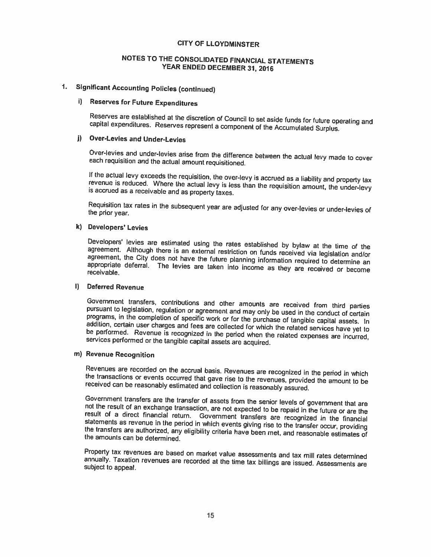### NOTES TO THE CONSOLIDATED FINANCIAL STATEMENTS YEAR ENDED DECEMBER 31, 2016

### 1. Significant Accounting Policies (continued)

### i) Reserves for Future Expenditures

Reserves are established at the discretion of Council to set aside funds for future operating and capital expenditures. Reserves represent a component of the Accumulated Surplus.

### i) Over-Levies and Under-Levies

Over-levies and under-levies arise from the difference between the actual levy made to cover each requisition and the actual amount requisitioned.

If the actual levy exceeds the requisition, the over-levy is accrued as a liability and property tax revenue is reduced. Where the actual levy is less than the requisition amount, the under-levy is accrued as a receivable and as property taxes.

Requisition tax rates in the subsequent year are adjusted for any over-levies or under-levies of the prior year.

### k) Developers' Levies

Developers' levies are estimated using the rates established by bylaw at the time of the agreement. Although there is an external restriction on funds received via legislation and/or agreement, the City does not have the future planning information required to determine an appropriate deferral. The levies are taken into income as they are received or become receivable.

### I) Deferred Revenue

Government transfers, contributions and other amounts are received from third parties pursuant to legislation, regulation or agreement and may only be used in the conduct of certain programs, in the completion of specific work or for the purchase of tangible capital assets. In addition, certain user charges and fees are collected for which the related services have yet to be performed. Revenue is recognized in the period when the related expenses are incurred, services performed or the tangible capital assets are acquired.

### m) Revenue Recognition

Revenues are recorded on the accrual basis. Revenues are recognized in the period in which the transactions or events occurred that gave rise to the revenues, provided the amount to be received can be reasonably estimated and collection is reasonably assured.

Government transfers are the transfer of assets from the senior levels of government that are not the result of an exchange transaction, are not expected to be repaid in the future or are the result of a direct financial return. Government transfers are recognized in the financial statements as revenue in the period in which events giving rise to the transfer occur, providing the transfers are authorized, any eligibility criteria have been met, and reasonable estimates of the amounts can be determined.

Property tax revenues are based on market value assessments and tax mill rates determined annually. Taxation revenues are recorded at the time tax billings are issued. Assessments are subject to appeal.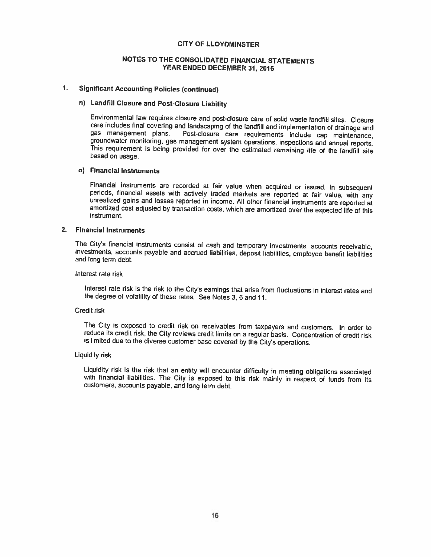### NOTES TO THE CONSOLIDATED FINANCIAL STATEMENTS YEAR ENDED DECEMBER 31, 2016

### $\mathbf 1$ . **Significant Accounting Policies (continued)**

### n) Landfill Closure and Post-Closure Liability

Environmental law requires closure and post-closure care of solid waste landfill sites. Closure care includes final covering and landscaping of the landfill and implementation of drainage and gas management plans. Post-closure care requirements include cap maintenance. groundwater monitoring, gas management system operations, inspections and annual reports. This requirement is being provided for over the estimated remaining life of the landfill site based on usage.

### o) Financial Instruments

Financial instruments are recorded at fair value when acquired or issued. In subsequent periods, financial assets with actively traded markets are reported at fair value, with any unrealized gains and losses reported in income. All other financial instruments are reported at amortized cost adjusted by transaction costs, which are amortized over the expected life of this instrument.

### 2. **Financial Instruments**

The City's financial instruments consist of cash and temporary investments, accounts receivable, investments, accounts payable and accrued liabilities, deposit liabilities, employee benefit liabilities and long term debt.

### Interest rate risk

Interest rate risk is the risk to the City's earnings that arise from fluctuations in interest rates and the degree of volatility of these rates. See Notes 3, 6 and 11.

### Credit risk

The City is exposed to credit risk on receivables from taxpayers and customers. In order to reduce its credit risk, the City reviews credit limits on a regular basis. Concentration of credit risk is limited due to the diverse customer base covered by the City's operations.

### Liquidity risk

Liquidity risk is the risk that an entity will encounter difficulty in meeting obligations associated with financial liabilities. The City is exposed to this risk mainly in respect of funds from its customers, accounts payable, and long term debt.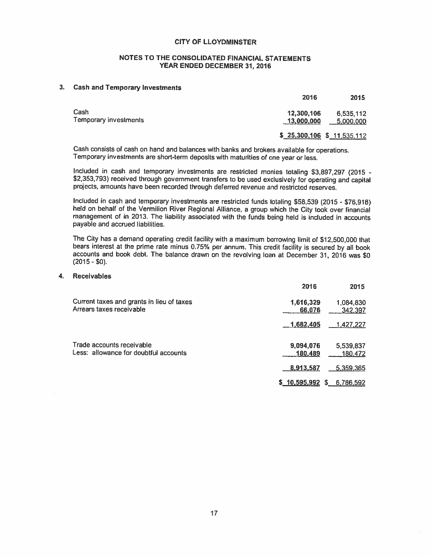### NOTES TO THE CONSOLIDATED FINANCIAL STATEMENTS YEAR ENDED DECEMBER 31, 2016

### $3.$ **Cash and Temporary Investments**

|                               | 2016                      | 2015                   |
|-------------------------------|---------------------------|------------------------|
| Cash<br>Temporary investments | 12,300,106<br>13,000,000  | 6,535,112<br>5,000,000 |
|                               | \$25,300,106 \$11,535,112 |                        |

Cash consists of cash on hand and balances with banks and brokers available for operations. Temporary investments are short-term deposits with maturities of one year or less.

Included in cash and temporary investments are restricted monies totaling \$3,897,297 (2015 -\$2,353,793) received through government transfers to be used exclusively for operating and capital projects, amounts have been recorded through deferred revenue and restricted reserves.

Included in cash and temporary investments are restricted funds totaling \$58,539 (2015 - \$76,918) held on behalf of the Vermilion River Regional Alliance, a group which the City took over financial management of in 2013. The liability associated with the funds being held is included in accounts payable and accrued liabilities.

The City has a demand operating credit facility with a maximum borrowing limit of \$12,500,000 that bears interest at the prime rate minus 0.75% per annum. This credit facility is secured by all book accounts and book debt. The balance drawn on the revolving loan at December 31, 2016 was \$0  $(2015 - $0)$ .

### **Receivables** 4.

|                                                                       | 2016                 | 2015                 |
|-----------------------------------------------------------------------|----------------------|----------------------|
| Current taxes and grants in lieu of taxes<br>Arrears taxes receivable | 1,616,329<br>66,076  | 1,084,830<br>342,397 |
|                                                                       | 1,682,405            | 1,427,227            |
| Trade accounts receivable<br>Less: allowance for doubtful accounts    | 9,094,076<br>180,489 | 5,539,837<br>180,472 |
|                                                                       | 8,913,587            | <u>5,359,365</u>     |
|                                                                       | \$10,595,992         | 6,786,592<br>S.      |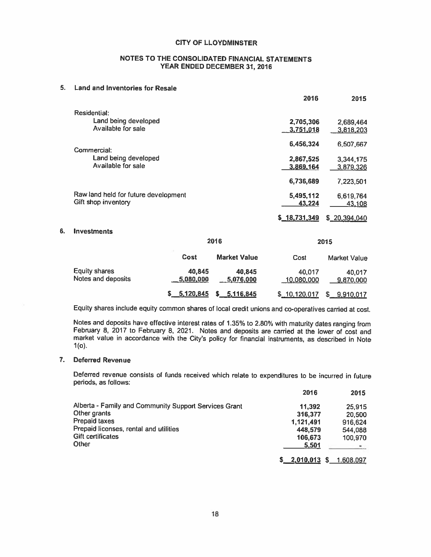### NOTES TO THE CONSOLIDATED FINANCIAL STATEMENTS YEAR ENDED DECEMBER 31, 2016

### 5. **Land and Inventories for Resale**

|                                            | 2016                   | 2015                   |
|--------------------------------------------|------------------------|------------------------|
| Residential:                               |                        |                        |
| Land being developed<br>Available for sale | 2,705,306<br>3,751,018 | 2,689,464<br>3,818,203 |
| Commercial:                                | 6,456,324              | 6,507,667              |
| Land being developed                       | 2,867,525              | 3,344,175              |
| Available for sale                         | 3.869.164              | 3,879,326              |
|                                            | 6,736,689              | 7,223,501              |
| Raw land held for future development       | 5,495,112              | 6,619,764              |
| Gift shop inventory                        | 43,224                 | <u>43,108</u>          |
|                                            | \$18,731,349           | \$20,394,040           |

### 6. Investments

|                                            | 2016                |                     | 2015                 |                     |
|--------------------------------------------|---------------------|---------------------|----------------------|---------------------|
|                                            | Cost                | <b>Market Value</b> | Cost                 | Market Value        |
| <b>Equity shares</b><br>Notes and deposits | 40,845<br>5,080,000 | 40,845<br>5,076,000 | 40.017<br>10,080,000 | 40,017<br>9,870,000 |
|                                            | 5,120,845           | 5,116,845           | \$_10,120,017        | \$ 9,910,017        |

Equity shares include equity common shares of local credit unions and co-operatives carried at cost.

Notes and deposits have effective interest rates of 1.35% to 2.80% with maturity dates ranging from February 8, 2017 to February 8, 2021. Notes and deposits are carried at the lower of cost and market value in accordance with the City's policy for financial instruments, as described in Note  $1<sub>(o)</sub>$ .

### 7. Deferred Revenue

Deferred revenue consists of funds received which relate to expenditures to be incurred in future periods, as follows:  $\sim$   $\sim$   $\sim$ 

|                                                       | 2016            | 2015      |
|-------------------------------------------------------|-----------------|-----------|
| Alberta - Family and Community Support Services Grant | 11,392          | 25.915    |
| Other grants                                          | 316,377         | 20,500    |
| Prepaid taxes                                         | 1,121,491       | 916,624   |
| Prepaid licenses, rental and utilities                | 448.579         | 544.088   |
| <b>Gift certificates</b>                              | 106,673         | 100,970   |
| Other                                                 | 5,501           |           |
|                                                       | $$2.010.013$ \$ | 1.608.097 |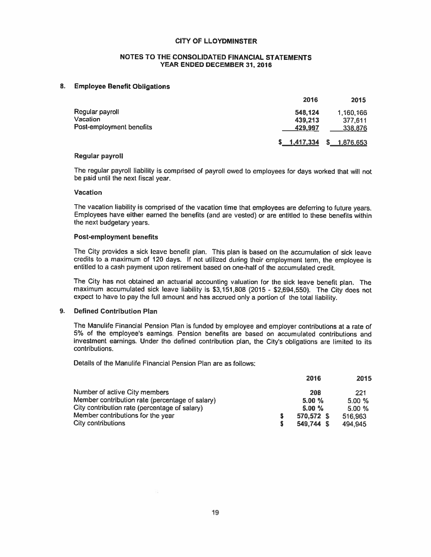### NOTES TO THE CONSOLIDATED FINANCIAL STATEMENTS YEAR ENDED DECEMBER 31, 2016

### **Employee Benefit Obligations** 8.

|                          | 2016      | 2015           |
|--------------------------|-----------|----------------|
| Regular payroll          | 548,124   | 1,160,166      |
| Vacation                 | 439.213   | 377.611        |
| Post-employment benefits | 429.997   | <u>338,876</u> |
|                          | 1,417,334 | \$ 1,876,653   |

### **Regular payroll**

The regular payroll liability is comprised of payroll owed to employees for days worked that will not be paid until the next fiscal year.

### **Vacation**

The vacation liability is comprised of the vacation time that employees are deferring to future years. Employees have either earned the benefits (and are vested) or are entitled to these benefits within the next budgetary years.

### **Post-employment benefits**

The City provides a sick leave benefit plan. This plan is based on the accumulation of sick leave credits to a maximum of 120 days. If not utilized during their employment term, the employee is entitled to a cash payment upon retirement based on one-half of the accumulated credit.

The City has not obtained an actuarial accounting valuation for the sick leave benefit plan. The maximum accumulated sick leave liability is \$3,151,808 (2015 - \$2,694,550). The City does not expect to have to pay the full amount and has accrued only a portion of the total liability.

### **Defined Contribution Plan** 9.

The Manulife Financial Pension Plan is funded by employee and employer contributions at a rate of 5% of the employee's earnings. Pension benefits are based on accumulated contributions and investment earnings. Under the defined contribution plan, the City's obligations are limited to its contributions.

Details of the Manulife Financial Pension Plan are as follows:

|                                                 |   | 2016       | 2015    |
|-------------------------------------------------|---|------------|---------|
| Number of active City members                   |   | 208        | 221     |
| Member contribution rate (percentage of salary) |   | 5.00%      | 5.00%   |
| City contribution rate (percentage of salary)   |   | 5.00%      | 5.00%   |
| Member contributions for the year               | s | 570.572 \$ | 516,963 |
| City contributions                              |   | 549.744 \$ | 494.945 |

سام ساسا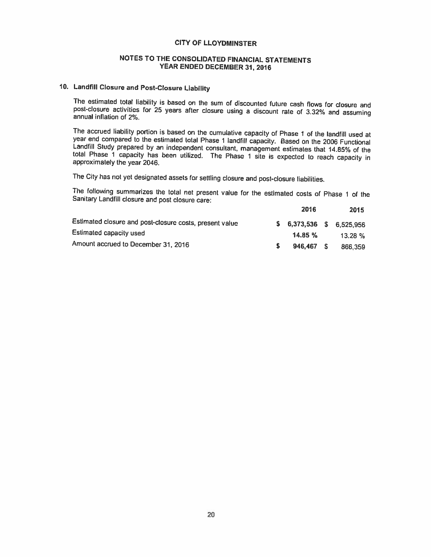### NOTES TO THE CONSOLIDATED FINANCIAL STATEMENTS YEAR ENDED DECEMBER 31, 2016

### 10. Landfill Closure and Post-Closure Liability

The estimated total liability is based on the sum of discounted future cash flows for closure and post-closure activities for 25 years after closure using a discount rate of 3.32% and assuming annual inflation of 2%.

The accrued liability portion is based on the cumulative capacity of Phase 1 of the landfill used at year end compared to the estimated total Phase 1 landfill capacity. Based on the 2006 Functional Landfill Study prepared by an independent consultant, management estimates that 14.85% of the total Phase 1 capacity has been utilized. The Phase 1 site is expected to reach capacity in approximately the year 2046.

The City has not yet designated assets for settling closure and post-closure liabilities.

The following summarizes the total net present value for the estimated costs of Phase 1 of the Sanitary Landfill closure and post closure care:

|                                                         | 2016                      | 2015       |
|---------------------------------------------------------|---------------------------|------------|
| Estimated closure and post-closure costs, present value | $$6,373,536$ $$6,525,956$ |            |
| Estimated capacity used                                 | 14.85%                    | $13.28 \%$ |
| Amount accrued to December 31, 2016                     | 946,467 S                 | 866.359    |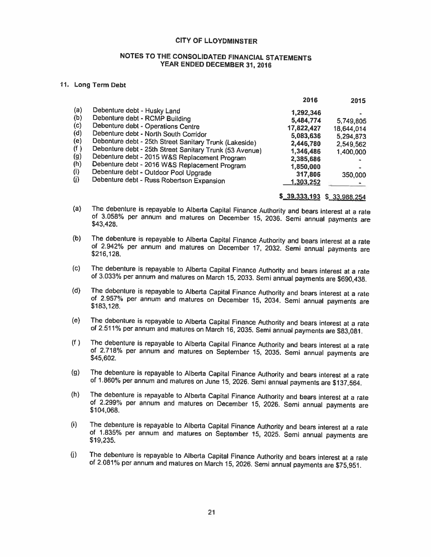### NOTES TO THE CONSOLIDATED FINANCIAL STATEMENTS YEAR ENDED DECEMBER 31, 2016

### 11. Long Term Debt

|     |                                                         | 2016          | 2015          |
|-----|---------------------------------------------------------|---------------|---------------|
| (a) | Debenture debt - Husky Land                             | 1,292,346     |               |
| (b) | Debenture debt - RCMP Building                          | 5,484,774     | 5,749,805     |
| (c) | Debenture debt - Operations Centre                      | 17,822,427    | 18,644,014    |
| (d) | Debenture debt - North South Corridor                   | 5,083,636     | 5,294,873     |
| (e) | Debenture debt - 25th Street Sanitary Trunk (Lakeside)  | 2,446,780     | 2,549,562     |
| (f) | Debenture debt - 25th Street Sanitary Trunk (53 Avenue) | 1,346,486     | 1,400,000     |
| (g) | Debenture debt - 2015 W&S Replacement Program           | 2,385,686     |               |
| (h) | Debenture debt - 2016 W&S Replacement Program           | 1,850,000     |               |
| (i) | Debenture debt - Outdoor Pool Upgrade                   | 317,806       | 350,000       |
| (i) | Debenture debt - Russ Robertson Expansion               | 1,303,252     |               |
|     |                                                         | \$ 39,333,193 | \$ 33,988,254 |

- The debenture is repayable to Alberta Capital Finance Authority and bears interest at a rate  $(a)$ of 3.058% per annum and matures on December 15, 2036. Semi annual payments are \$43,428.
- The debenture is repayable to Alberta Capital Finance Authority and bears interest at a rate  $(b)$ of 2.942% per annum and matures on December 17, 2032. Semi annual payments are \$216,128.
- $(c)$ The debenture is repayable to Alberta Capital Finance Authority and bears interest at a rate of 3.033% per annum and matures on March 15, 2033. Semi annual payments are \$690,438.
- The debenture is repayable to Alberta Capital Finance Authority and bears interest at a rate  $(d)$ of 2.957% per annum and matures on December 15, 2034. Semi annual payments are \$183,128.
- $(e)$ The debenture is repayable to Alberta Capital Finance Authority and bears interest at a rate of 2.511% per annum and matures on March 16, 2035. Semi annual payments are \$83,081.
- $(f)$ The debenture is repayable to Alberta Capital Finance Authority and bears interest at a rate of 2.718% per annum and matures on September 15, 2035. Semi annual payments are \$45,602.
- The debenture is repayable to Alberta Capital Finance Authority and bears interest at a rate  $(q)$ of 1.860% per annum and matures on June 15, 2026. Semi annual payments are \$137,564.
- $(h)$ The debenture is repayable to Alberta Capital Finance Authority and bears interest at a rate of 2.299% per annum and matures on December 15, 2026. Semi annual payments are \$104,068.
- $(i)$ The debenture is repayable to Alberta Capital Finance Authority and bears interest at a rate of 1.835% per annum and matures on September 15, 2025. Semi annual payments are  $$19,235.$
- The debenture is repayable to Alberta Capital Finance Authority and bears interest at a rate  $(i)$ of 2.081% per annum and matures on March 15, 2026. Semi annual payments are \$75,951.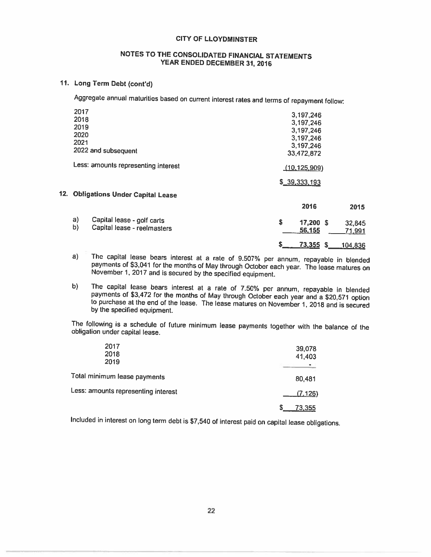### NOTES TO THE CONSOLIDATED FINANCIAL STATEMENTS YEAR ENDED DECEMBER 31, 2016

### 11. Long Term Debt (cont'd)

 $12.$ 

Aggregate annual maturities based on current interest rates and terms of repayment follow:

| 2017<br>2018<br>2019<br>2020<br>2021<br>2022 and subsequent |                                                           | 3,197,246<br>3,197,246<br>3,197,246<br>3,197,246<br>3,197,246<br>33,472,872 |                  |  |
|-------------------------------------------------------------|-----------------------------------------------------------|-----------------------------------------------------------------------------|------------------|--|
|                                                             | Less: amounts representing interest                       | (10, 125, 909)                                                              |                  |  |
|                                                             |                                                           | \$_39,333,193                                                               |                  |  |
|                                                             | <b>Obligations Under Capital Lease</b>                    |                                                                             |                  |  |
|                                                             |                                                           | 2016                                                                        | 2015             |  |
| a)<br>b)                                                    | Capital lease - golf carts<br>Capital lease - reelmasters | \$<br>17,200 \$<br>56,155                                                   | 32,845<br>71,991 |  |
|                                                             |                                                           | 73,355                                                                      | 104,836<br>S     |  |

The capital lease bears interest at a rate of 9.507% per annum, repayable in blended  $a)$ payments of \$3,041 for the months of May through October each year. The lease matures on November 1, 2017 and is secured by the specified equipment.

The capital lease bears interest at a rate of 7.50% per annum, repayable in blended b) payments of \$3,472 for the months of May through October each year and a \$20,571 option to purchase at the end of the lease. The lease matures on November 1, 2018 and is secured by the specified equipment.

The following is a schedule of future minimum lease payments together with the balance of the obligation under capital lease.

| 2017<br>2018<br>2019                | 39,078<br>41,403 |
|-------------------------------------|------------------|
| Total minimum lease payments        | 80,481           |
| Less: amounts representing interest | (7, 126)         |
|                                     | <u>73,355</u>    |

Included in interest on long term debt is \$7,540 of interest paid on capital lease obligations.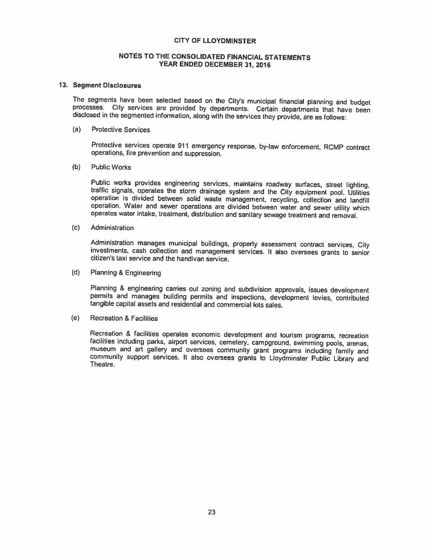### NOTES TO THE CONSOLIDATED FINANCIAL STATEMENTS YEAR ENDED DECEMBER 31, 2016

### 13. Segment Disclosures

The segments have been selected based on the City's municipal financial planning and budget processes. City services are provided by departments. Certain departments that have been disclosed in the segmented information, along with the services they provide, are as follows:

 $(a)$ **Protective Services** 

> Protective services operate 911 emergency response, by-law enforcement, RCMP contract operations, fire prevention and suppression.

 $(b)$ **Public Works** 

> Public works provides engineering services, maintains roadway surfaces, street lighting, traffic signals, operates the storm drainage system and the City equipment pool. Utilities operation is divided between solid waste management, recycling, collection and landfill operation. Water and sewer operations are divided between water and sewer utility which operates water intake, treatment, distribution and sanitary sewage treatment and removal.

Administration  $(c)$ 

> Administration manages municipal buildings, property assessment contract services, City investments, cash collection and management services. It also oversees grants to senior citizen's taxi service and the handivan service.

 $(d)$ Planning & Engineering

> Planning & engineering carries out zoning and subdivision approvals, issues development permits and manages building permits and inspections, development levies, contributed tangible capital assets and residential and commercial lots sales.

 $(e)$ **Recreation & Facilities** 

> Recreation & facilities operates economic development and tourism programs, recreation facilities including parks, airport services, cemetery, campground, swimming pools, arenas, museum and art gallery and oversees community grant programs including family and community support services. It also oversees grants to Lloydminster Public Library and Theatre.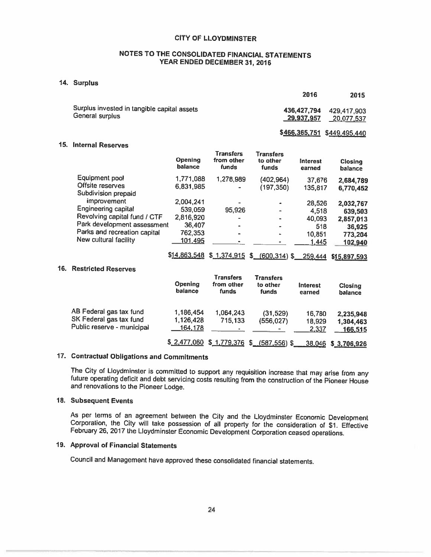### NOTES TO THE CONSOLIDATED FINANCIAL STATEMENTS YEAR ENDED DECEMBER 31, 2016

### 14. Surplus

 $15.$ 

16.

|                                                                |                        |                                         |                                                    | 2016                        | 2015                      |
|----------------------------------------------------------------|------------------------|-----------------------------------------|----------------------------------------------------|-----------------------------|---------------------------|
| Surplus invested in tangible capital assets<br>General surplus |                        |                                         |                                                    | 436, 427, 794<br>29,937,957 | 429,417,903<br>20,077,537 |
|                                                                |                        |                                         |                                                    | \$466,365,751               | \$449,495,440             |
| <b>Internal Reserves</b>                                       |                        |                                         |                                                    |                             |                           |
|                                                                | Opening<br>balance     | <b>Transfers</b><br>from other<br>funds | <b>Transfers</b><br>to other<br>funds              | <b>Interest</b><br>earned   | Closing<br>balance        |
| Equipment pool<br>Offsite reserves<br>Subdivision prepaid      | 1,771,088<br>6,831,985 | 1,278,989                               | (402, 964)<br>(197, 350)                           | 37,676<br>135,817           | 2,684,789<br>6,770,452    |
| improvement                                                    | 2,004,241              |                                         |                                                    | 28,526                      | 2,032,767                 |
| Engineering capital                                            | 539,059                | 95,926                                  |                                                    | 4,518                       | 639,503                   |
| Revolving capital fund / CTF                                   | 2,816,920              |                                         |                                                    | 40,093                      | 2,857,013                 |
| Park development assessment                                    | 36,407                 |                                         |                                                    | 518                         | 36,925                    |
| Parks and recreation capital                                   | 762,353                |                                         |                                                    | 10,851                      | 773,204                   |
| New cultural facility                                          | 101,495                |                                         |                                                    | 1,445                       | 102,940                   |
|                                                                |                        |                                         | $$14,863,548$ \$ 1,374,915 \$ (600,314) \$ 259,444 |                             | \$15,897,593              |
| <b>Restricted Reserves</b>                                     |                        |                                         |                                                    |                             |                           |
|                                                                | Opening<br>balance     | <b>Transfers</b><br>from other<br>funds | <b>Transfers</b><br>to other<br>funds              | <b>Interest</b><br>earned   | <b>Closing</b><br>balance |
| AB Federal gas tax fund                                        | 1,186,454              | 1,064,243                               | (31, 529)                                          | 16,780                      | 2,235,948                 |
| SK Federal gas tax fund<br>Public reserve - municipal          | 1,126,428<br>164.178   | 715,133                                 | (556, 027)                                         | 18,929<br>2,337             | 1,304,463<br>166,515      |
|                                                                |                        |                                         |                                                    |                             |                           |

### 17. Contractual Obligations and Commitments

The City of Lloydminster is committed to support any requisition increase that may arise from any future operating deficit and debt servicing costs resulting from the construction of the Pioneer House and renovations to the Pioneer Lodge.

\$ 2,477,060 \$ 1,779,376 \$ (587,556) \$

38,046 \$3,706,926

### 18. Subsequent Events

As per terms of an agreement between the City and the Lloydminster Economic Development Corporation, the City will take possession of all property for the consideration of \$1. Effective February 26, 2017 the Lloydminster Economic Development Corporation ceased operations.

### 19. Approval of Financial Statements

Council and Management have approved these consolidated financial statements.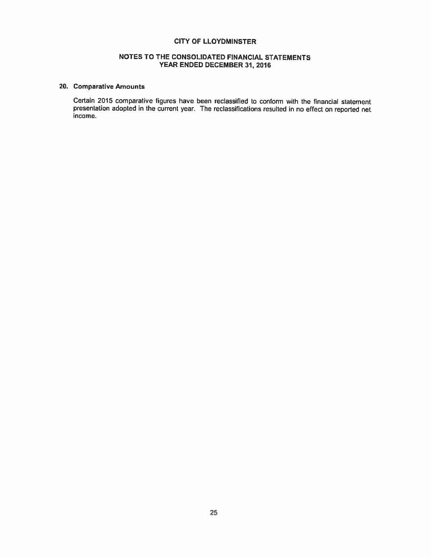### NOTES TO THE CONSOLIDATED FINANCIAL STATEMENTS YEAR ENDED DECEMBER 31, 2016

### 20. Comparative Amounts

Certain 2015 comparative figures have been reclassified to conform with the financial statement presentation adopted in the current year. The reclassifications resulted in no effect on reported net income.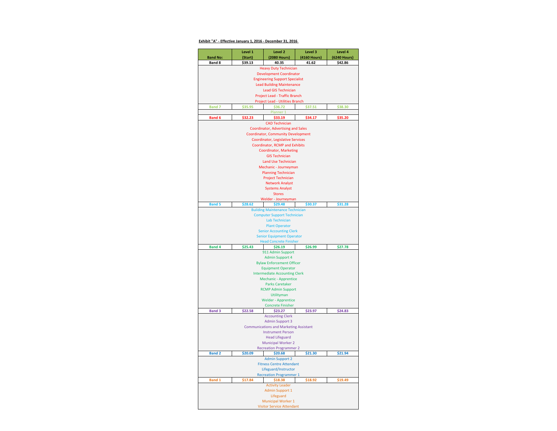### **Exhibit "A" - Effective January 1, 2016 - December 31, 2016**



|                 | Level 1 | Level 2                                              | Level 3      | Level 4   |
|-----------------|---------|------------------------------------------------------|--------------|-----------|
| <b>Band No:</b> | (Start) | (2080 Hours)                                         | (4160 Hours) | (6240 Hou |
| <b>Band 8</b>   | \$39.13 | 40.35                                                | 41.62        | \$42.86   |
|                 |         | <b>Heavy Duty Technician</b>                         |              |           |
|                 |         | <b>Development Coordinator</b>                       |              |           |
|                 |         | <b>Engineering Support Specialist</b>                |              |           |
|                 |         | <b>Lead Building Maintenance</b>                     |              |           |
|                 |         | <b>Lead GIS Technician</b>                           |              |           |
|                 |         | <b>Project Lead - Traffic Branch</b>                 |              |           |
|                 |         | <b>Project Lead - Utilities Branch</b>               |              |           |
| <b>Band 7</b>   | \$35.95 | \$36.72                                              | \$37.51      | \$38.30   |
|                 |         | Planner 1                                            |              |           |
| <b>Band 6</b>   | \$32.23 | \$33.19                                              | \$34.17      | \$35.20   |
|                 |         | <b>CAD Technician</b>                                |              |           |
|                 |         | <b>Coordinator, Advertising and Sales</b>            |              |           |
|                 |         | <b>Coordinator, Community Development</b>            |              |           |
|                 |         | Coordinator, Legislative Services                    |              |           |
|                 |         | Coordinator, RCMP and Exhibits                       |              |           |
|                 |         | <b>Coordinator, Marketing</b>                        |              |           |
|                 |         | <b>GIS Technician</b>                                |              |           |
|                 |         | <b>Land Use Technician</b>                           |              |           |
|                 |         | Mechanic - Journeyman                                |              |           |
|                 |         | <b>Planning Technician</b>                           |              |           |
|                 |         | <b>Project Technician</b>                            |              |           |
|                 |         | <b>Network Analyst</b>                               |              |           |
|                 |         | <b>Systems Analyst</b>                               |              |           |
|                 |         | <b>Stores</b>                                        |              |           |
|                 |         | Welder - Journeyman                                  |              |           |
| <b>Band 5</b>   | \$28.62 | \$29.48                                              | \$30.37      | \$31.28   |
|                 |         | <b>Building Maintenance Technician</b>               |              |           |
|                 |         | <b>Computer Support Technician</b><br>Lab Technician |              |           |
|                 |         | <b>Plant Operator</b>                                |              |           |
|                 |         | <b>Senior Accounting Clerk</b>                       |              |           |
|                 |         | <b>Senior Equipment Operator</b>                     |              |           |
|                 |         | <b>Head Concrete Finisher</b>                        |              |           |
| <b>Band 4</b>   | \$25.43 | \$26.19                                              | \$26.99      | \$27.78   |
|                 |         | 911 Admin Support                                    |              |           |
|                 |         | <b>Admin Support 4</b>                               |              |           |
|                 |         | <b>Bylaw Enforcement Officer</b>                     |              |           |
|                 |         | <b>Equipment Operator</b>                            |              |           |
|                 |         | <b>Intermediate Accounting Clerk</b>                 |              |           |
|                 |         | <b>Mechanic - Apprentice</b>                         |              |           |
|                 |         | <b>Parks Caretaker</b>                               |              |           |
|                 |         | <b>RCMP Admin Support</b>                            |              |           |
|                 |         | Utilityman                                           |              |           |
|                 |         | <b>Welder - Apprentice</b>                           |              |           |
|                 |         | <b>Concrete Finisher</b>                             |              |           |
| <b>Band 3</b>   | \$22.58 | \$23.27                                              | \$23.97      | \$24.83   |
|                 |         | <b>Accounting Clerk</b>                              |              |           |
|                 |         | <b>Admin Support 3</b>                               |              |           |
|                 |         | <b>Communications and Marketing Assistant</b>        |              |           |
|                 |         | <b>Instrument Person</b>                             |              |           |
|                 |         | <b>Head Lifeguard</b>                                |              |           |
|                 |         | <b>Municipal Worker 2</b>                            |              |           |
|                 |         | <b>Recreation Programmer 2</b>                       |              |           |
| <b>Band 2</b>   | \$20.09 | \$20.68                                              | \$21.30      | \$21.94   |
|                 |         | <b>Admin Support 2</b>                               |              |           |
|                 |         | <b>Fitness Centre Attendant</b>                      |              |           |
|                 |         | Lifeguard/Instructor                                 |              |           |
|                 |         | <b>Recreation Programmer 1</b>                       |              |           |
| <b>Band 1</b>   | \$17.84 | \$18.38                                              | \$18.92      | \$19.49   |
|                 |         | <b>Activity Leader</b><br><b>Admin Support 1</b>     |              |           |
|                 |         | Lifeguard                                            |              |           |
|                 |         | <b>Municipal Worker 1</b>                            |              |           |
|                 |         | <b>Visitor Service Attendant</b>                     |              |           |
|                 |         |                                                      |              |           |